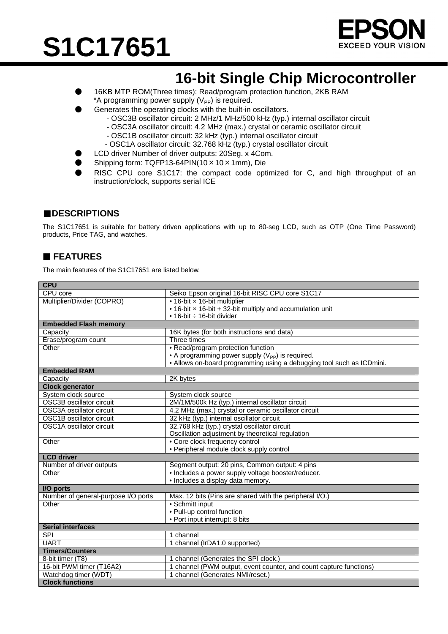# **S1C17651**



## **16-bit Single Chip Microcontroller**

- 16KB MTP ROM(Three times): Read/program protection function, 2KB RAM \*A programming power supply  $(V_{PP})$  is required.
- Generates the operating clocks with the built-in oscillators.
	- OSC3B oscillator circuit: 2 MHz/1 MHz/500 kHz (typ.) internal oscillator circuit
	- OSC3A oscillator circuit: 4.2 MHz (max.) crystal or ceramic oscillator circuit
	- OSC1B oscillator circuit: 32 kHz (typ.) internal oscillator circuit
	- OSC1A oscillator circuit: 32.768 kHz (typ.) crystal oscillator circuit
	- LCD driver Number of driver outputs: 20Seg. x 4Com.
- Shipping form: TQFP13-64PIN(10 × 10 × 1mm), Die
- RISC CPU core S1C17: the compact code optimized for C, and high throughput of an instruction/clock, supports serial ICE

### ■**DESCRIPTIONS**

The S1C17651 is suitable for battery driven applications with up to 80-seg LCD, such as OTP (One Time Password) products, Price TAG, and watches.

### **FEATURES**

The main features of the S1C17651 are listed below.

| <b>CPU</b>                          |                                                                       |  |
|-------------------------------------|-----------------------------------------------------------------------|--|
| CPU core                            | Seiko Epson original 16-bit RISC CPU core S1C17                       |  |
| Multiplier/Divider (COPRO)          | • 16-bit x 16-bit multiplier                                          |  |
|                                     | • 16-bit x 16-bit + 32-bit multiply and accumulation unit             |  |
|                                     | • 16-bit $\div$ 16-bit divider                                        |  |
| <b>Embedded Flash memory</b>        |                                                                       |  |
| Capacity                            | 16K bytes (for both instructions and data)                            |  |
| Erase/program count                 | Three times                                                           |  |
| Other                               | • Read/program protection function                                    |  |
|                                     | • A programming power supply $(V_{PP})$ is required.                  |  |
|                                     | • Allows on-board programming using a debugging tool such as ICDmini. |  |
| <b>Embedded RAM</b>                 |                                                                       |  |
| Capacity                            | 2K bytes                                                              |  |
| <b>Clock generator</b>              |                                                                       |  |
| System clock source                 | System clock source                                                   |  |
| <b>OSC3B oscillator circuit</b>     | 2M/1M/500k Hz (typ.) internal oscillator circuit                      |  |
| OSC3A oscillator circuit            | 4.2 MHz (max.) crystal or ceramic oscillator circuit                  |  |
| <b>OSC1B oscillator circuit</b>     | 32 kHz (typ.) internal oscillator circuit                             |  |
| OSC1A oscillator circuit            | 32.768 kHz (typ.) crystal oscillator circuit                          |  |
|                                     | Oscillation adjustment by theoretical regulation                      |  |
| Other                               | • Core clock frequency control                                        |  |
|                                     | • Peripheral module clock supply control                              |  |
| <b>LCD</b> driver                   |                                                                       |  |
| Number of driver outputs            | Segment output: 20 pins, Common output: 4 pins                        |  |
| Other                               | • Includes a power supply voltage booster/reducer.                    |  |
|                                     | · Includes a display data memory.                                     |  |
| I/O ports                           |                                                                       |  |
| Number of general-purpose I/O ports | Max. 12 bits (Pins are shared with the peripheral I/O.)               |  |
| Other                               | • Schmitt input                                                       |  |
|                                     | • Pull-up control function                                            |  |
|                                     | • Port input interrupt: 8 bits                                        |  |
| <b>Serial interfaces</b>            |                                                                       |  |
| <b>SPI</b>                          | channel                                                               |  |
| <b>UART</b>                         | 1 channel (IrDA1.0 supported)                                         |  |
| <b>Timers/Counters</b>              |                                                                       |  |
| 8-bit timer (T8)                    | channel (Generates the SPI clock.)                                    |  |
| 16-bit PWM timer (T16A2)            | channel (PWM output, event counter, and count capture functions)      |  |
| Watchdog timer (WDT)                | 1 channel (Generates NMI/reset.)                                      |  |
| <b>Clock functions</b>              |                                                                       |  |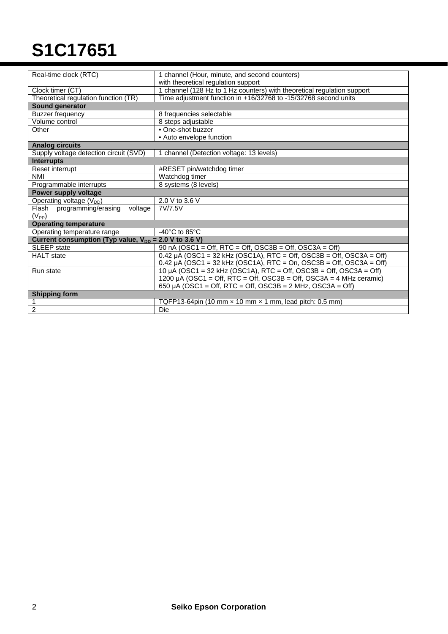# **S1C17651**

| Real-time clock (RTC)                                      | 1 channel (Hour, minute, and second counters)                             |  |
|------------------------------------------------------------|---------------------------------------------------------------------------|--|
|                                                            | with theoretical regulation support                                       |  |
| Clock timer (CT)                                           | 1 channel (128 Hz to 1 Hz counters) with theoretical regulation support   |  |
| Theoretical regulation function (TR)                       | Time adjustment function in +16/32768 to -15/32768 second units           |  |
| Sound generator                                            |                                                                           |  |
| <b>Buzzer frequency</b>                                    | 8 frequencies selectable                                                  |  |
| Volume control                                             | 8 steps adjustable                                                        |  |
| Other                                                      | • One-shot buzzer                                                         |  |
|                                                            | • Auto envelope function                                                  |  |
| <b>Analog circuits</b>                                     |                                                                           |  |
| Supply voltage detection circuit (SVD)                     | 1 channel (Detection voltage: 13 levels)                                  |  |
| <b>Interrupts</b>                                          |                                                                           |  |
| Reset interrupt                                            | #RESET pin/watchdog timer                                                 |  |
| <b>NMI</b>                                                 | Watchdog timer                                                            |  |
| Programmable interrupts                                    | 8 systems (8 levels)                                                      |  |
| Power supply voltage                                       |                                                                           |  |
| Operating voltage $(V_{DD})$                               | 2.0 V to 3.6 V                                                            |  |
| Flash programming/erasing<br>voltage                       | 7V/7.5V                                                                   |  |
| $(V_{PP})$                                                 |                                                                           |  |
| <b>Operating temperature</b>                               |                                                                           |  |
| Operating temperature range                                | -40 $^{\circ}$ C to 85 $^{\circ}$ C                                       |  |
| Current consumption (Typ value, $V_{DD} = 2.0 V$ to 3.6 V) |                                                                           |  |
| <b>SLEEP</b> state                                         | 90 nA (OSC1 = Off, RTC = Off, OSC3B = Off, OSC3A = Off)                   |  |
| <b>HALT</b> state                                          | $0.42 \mu A$ (OSC1 = 32 kHz (OSC1A), RTC = Off, OSC3B = Off, OSC3A = Off) |  |
|                                                            | 0.42 $\mu$ A (OSC1 = 32 kHz (OSC1A), RTC = On, OSC3B = Off, OSC3A = Off)  |  |
| Run state                                                  | 10 µA (OSC1 = 32 kHz (OSC1A), RTC = Off, OSC3B = Off, OSC3A = Off)        |  |
|                                                            | 1200 µA (OSC1 = Off, RTC = Off, OSC3B = Off, OSC3A = 4 MHz ceramic)       |  |
|                                                            | 650 µA (OSC1 = Off, RTC = Off, OSC3B = $2$ MHz, OSC3A = Off)              |  |
| <b>Shipping form</b>                                       |                                                                           |  |
| 1                                                          | TQFP13-64pin (10 mm $\times$ 10 mm $\times$ 1 mm, lead pitch: 0.5 mm)     |  |
| $\overline{2}$                                             | Die                                                                       |  |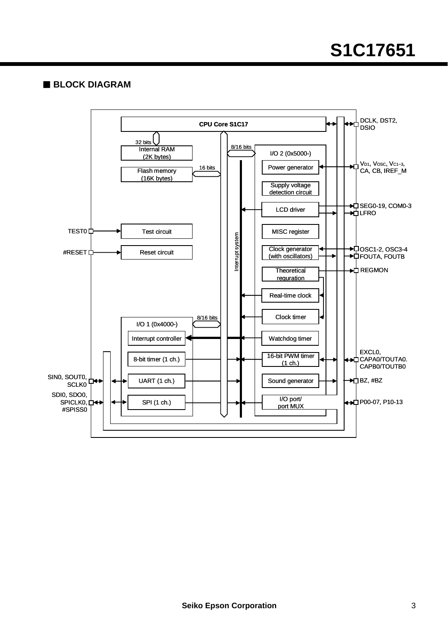### **BLOCK DIAGRAM**